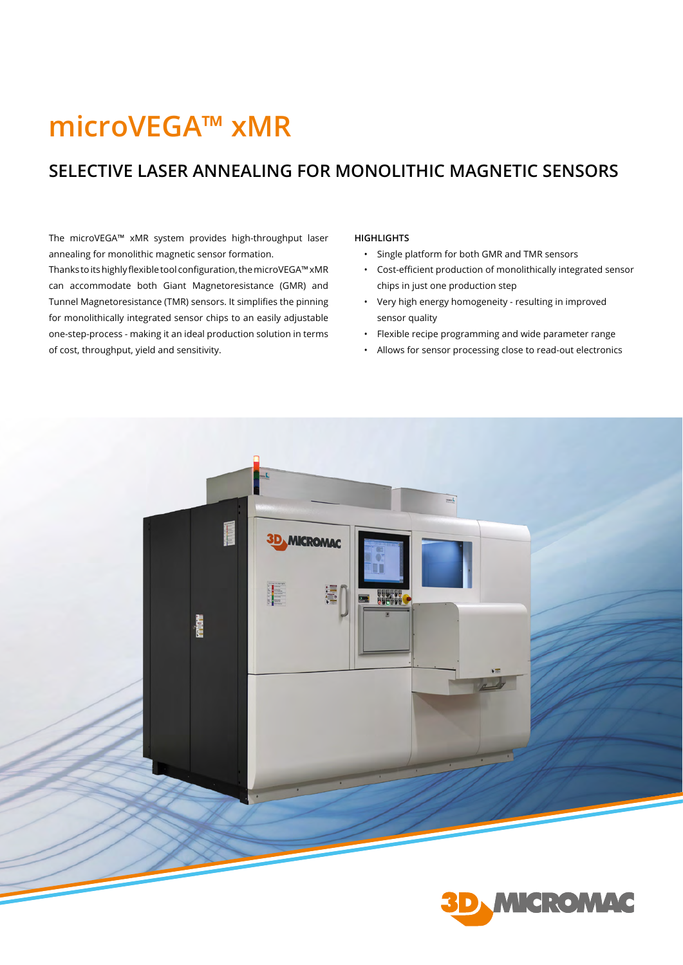## **microVEGA™ xMR**

## **SELECTIVE LASER ANNEALING FOR MONOLITHIC MAGNETIC SENSORS**

The microVEGA™ xMR system provides high-throughput laser annealing for monolithic magnetic sensor formation.

Thanks to its highly flexible tool configuration, the microVEGA™ xMR can accommodate both Giant Magnetoresistance (GMR) and Tunnel Magnetoresistance (TMR) sensors. It simplifies the pinning for monolithically integrated sensor chips to an easily adjustable one-step-process - making it an ideal production solution in terms of cost, throughput, yield and sensitivity.

## **HIGHLIGHTS**

- Single platform for both GMR and TMR sensors
- Cost-efficient production of monolithically integrated sensor chips in just one production step
- Very high energy homogeneity resulting in improved sensor quality
- Flexible recipe programming and wide parameter range
- Allows for sensor processing close to read-out electronics